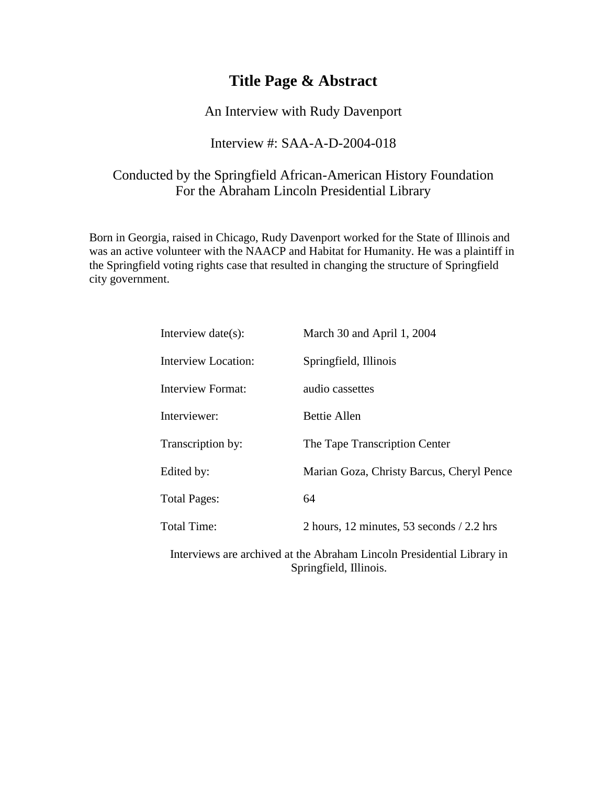# **Title Page & Abstract**

An Interview with Rudy Davenport

#### Interview #: SAA-A-D-2004-018

### Conducted by the Springfield African-American History Foundation For the Abraham Lincoln Presidential Library

Born in Georgia, raised in Chicago, Rudy Davenport worked for the State of Illinois and was an active volunteer with the NAACP and Habitat for Humanity. He was a plaintiff in the Springfield voting rights case that resulted in changing the structure of Springfield city government.

| Interview $date(s)$ :    | March 30 and April 1, 2004                  |
|--------------------------|---------------------------------------------|
| Interview Location:      | Springfield, Illinois                       |
| <b>Interview Format:</b> | audio cassettes                             |
| Interviewer:             | Bettie Allen                                |
| Transcription by:        | The Tape Transcription Center               |
| Edited by:               | Marian Goza, Christy Barcus, Cheryl Pence   |
| <b>Total Pages:</b>      | 64                                          |
| <b>Total Time:</b>       | 2 hours, 12 minutes, 53 seconds $/$ 2.2 hrs |
|                          |                                             |

Interviews are archived at the Abraham Lincoln Presidential Library in Springfield, Illinois.